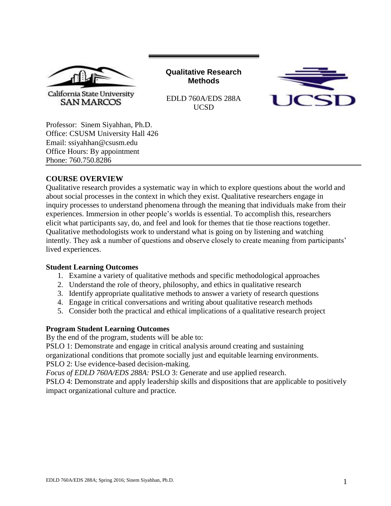

**Qualitative Research Methods**



EDLD 760A/EDS 288A UCSD

Professor: Sinem Siyahhan, Ph.D. Office: CSUSM University Hall 426 Email: ssiyahhan@csusm.edu Office Hours: By appointment Phone: 760.750.8286

## **COURSE OVERVIEW**

Qualitative research provides a systematic way in which to explore questions about the world and about social processes in the context in which they exist. Qualitative researchers engage in inquiry processes to understand phenomena through the meaning that individuals make from their experiences. Immersion in other people's worlds is essential. To accomplish this, researchers elicit what participants say, do, and feel and look for themes that tie those reactions together. Qualitative methodologists work to understand what is going on by listening and watching intently. They ask a number of questions and observe closely to create meaning from participants' lived experiences.

## **Student Learning Outcomes**

- 1. Examine a variety of qualitative methods and specific methodological approaches
- 2. Understand the role of theory, philosophy, and ethics in qualitative research
- 3. Identify appropriate qualitative methods to answer a variety of research questions
- 4. Engage in critical conversations and writing about qualitative research methods
- 5. Consider both the practical and ethical implications of a qualitative research project

#### **Program Student Learning Outcomes**

By the end of the program, students will be able to:

PSLO 1: Demonstrate and engage in critical analysis around creating and sustaining organizational conditions that promote socially just and equitable learning environments. PSLO 2: Use evidence-based decision-making.

*Focus of EDLD 760A/EDS 288A:* PSLO 3: Generate and use applied research.

PSLO 4: Demonstrate and apply leadership skills and dispositions that are applicable to positively impact organizational culture and practice.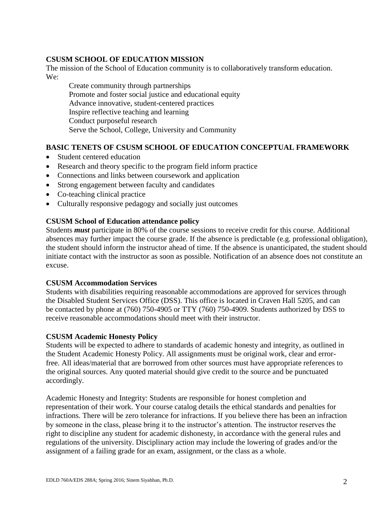### **CSUSM SCHOOL OF EDUCATION MISSION**

The mission of the School of Education community is to collaboratively transform education. We:

Create community through partnerships Promote and foster social justice and educational equity Advance innovative, student-centered practices Inspire reflective teaching and learning Conduct purposeful research Serve the School, College, University and Community

# **BASIC TENETS OF CSUSM SCHOOL OF EDUCATION CONCEPTUAL FRAMEWORK**

- Student centered education
- Research and theory specific to the program field inform practice
- Connections and links between coursework and application
- Strong engagement between faculty and candidates
- Co-teaching clinical practice
- Culturally responsive pedagogy and socially just outcomes

### **CSUSM School of Education attendance policy**

Students *must* participate in 80% of the course sessions to receive credit for this course. Additional absences may further impact the course grade. If the absence is predictable (e.g. professional obligation), the student should inform the instructor ahead of time. If the absence is unanticipated, the student should initiate contact with the instructor as soon as possible. Notification of an absence does not constitute an excuse.

#### **CSUSM Accommodation Services**

Students with disabilities requiring reasonable accommodations are approved for services through the Disabled Student Services Office (DSS). This office is located in Craven Hall 5205, and can be contacted by phone at (760) 750-4905 or TTY (760) 750-4909. Students authorized by DSS to receive reasonable accommodations should meet with their instructor.

#### **CSUSM Academic Honesty Policy**

Students will be expected to adhere to standards of academic honesty and integrity, as outlined in the Student Academic Honesty Policy. All assignments must be original work, clear and errorfree. All ideas/material that are borrowed from other sources must have appropriate references to the original sources. Any quoted material should give credit to the source and be punctuated accordingly.

Academic Honesty and Integrity: Students are responsible for honest completion and representation of their work. Your course catalog details the ethical standards and penalties for infractions. There will be zero tolerance for infractions. If you believe there has been an infraction by someone in the class, please bring it to the instructor's attention. The instructor reserves the right to discipline any student for academic dishonesty, in accordance with the general rules and regulations of the university. Disciplinary action may include the lowering of grades and/or the assignment of a failing grade for an exam, assignment, or the class as a whole.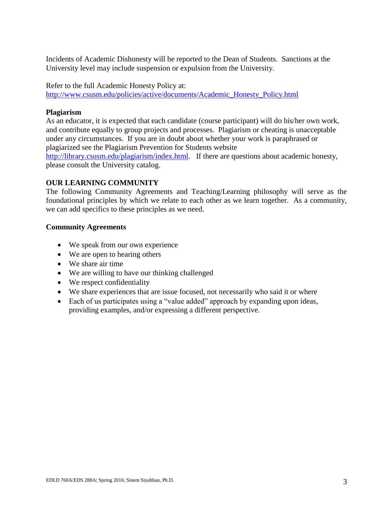Incidents of Academic Dishonesty will be reported to the Dean of Students. Sanctions at the University level may include suspension or expulsion from the University.

Refer to the full Academic Honesty Policy at: [http://www.csusm.edu/policies/active/documents/Academic\\_Honesty\\_Policy.html](http://www.csusm.edu/policies/active/documents/Academic_Honesty_Policy.html)

### **Plagiarism**

As an educator, it is expected that each candidate (course participant) will do his/her own work, and contribute equally to group projects and processes. Plagiarism or cheating is unacceptable under any circumstances. If you are in doubt about whether your work is paraphrased or plagiarized see the Plagiarism Prevention for Students website

[http://library.csusm.edu/plagiarism/index.html.](http://library.csusm.edu/plagiarism/index.html) If there are questions about academic honesty, please consult the University catalog.

### **OUR LEARNING COMMUNITY**

The following Community Agreements and Teaching/Learning philosophy will serve as the foundational principles by which we relate to each other as we learn together. As a community, we can add specifics to these principles as we need.

### **Community Agreements**

- We speak from our own experience
- We are open to hearing others
- We share air time
- We are willing to have our thinking challenged
- We respect confidentiality
- We share experiences that are issue focused, not necessarily who said it or where
- Each of us participates using a "value added" approach by expanding upon ideas, providing examples, and/or expressing a different perspective.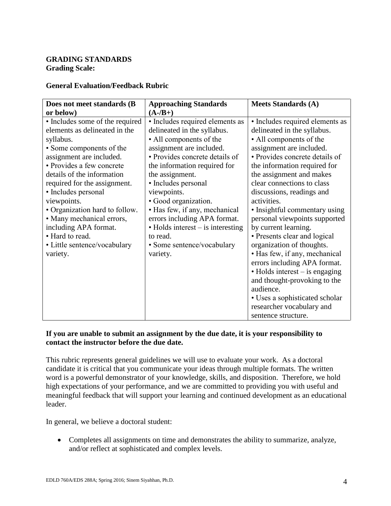## **GRADING STANDARDS Grading Scale:**

### **General Evaluation/Feedback Rubric**

| Does not meet standards (B      | <b>Approaching Standards</b>              | <b>Meets Standards (A)</b>      |
|---------------------------------|-------------------------------------------|---------------------------------|
| or below)                       | $(A - /B)$                                |                                 |
| • Includes some of the required | · Includes required elements as           | · Includes required elements as |
| elements as delineated in the   | delineated in the syllabus.               | delineated in the syllabus.     |
| syllabus.                       | • All components of the                   | • All components of the         |
| • Some components of the        | assignment are included.                  | assignment are included.        |
| assignment are included.        | • Provides concrete details of            | • Provides concrete details of  |
| • Provides a few concrete       | the information required for              | the information required for    |
| details of the information      | the assignment.                           | the assignment and makes        |
| required for the assignment.    | • Includes personal                       | clear connections to class      |
| • Includes personal             | viewpoints.                               | discussions, readings and       |
| viewpoints.                     | • Good organization.                      | activities.                     |
| • Organization hard to follow.  | • Has few, if any, mechanical             | • Insightful commentary using   |
| • Many mechanical errors,       | errors including APA format.              | personal viewpoints supported   |
| including APA format.           | $\bullet$ Holds interest – is interesting | by current learning.            |
| • Hard to read.                 | to read.                                  | • Presents clear and logical    |
| • Little sentence/vocabulary    | • Some sentence/vocabulary                | organization of thoughts.       |
| variety.                        | variety.                                  | • Has few, if any, mechanical   |
|                                 |                                           | errors including APA format.    |
|                                 |                                           | • Holds interest – is engaging  |
|                                 |                                           | and thought-provoking to the    |
|                                 |                                           | audience.                       |
|                                 |                                           | • Uses a sophisticated scholar  |
|                                 |                                           | researcher vocabulary and       |
|                                 |                                           | sentence structure.             |

### **If you are unable to submit an assignment by the due date, it is your responsibility to contact the instructor before the due date.**

This rubric represents general guidelines we will use to evaluate your work. As a doctoral candidate it is critical that you communicate your ideas through multiple formats. The written word is a powerful demonstrator of your knowledge, skills, and disposition. Therefore, we hold high expectations of your performance, and we are committed to providing you with useful and meaningful feedback that will support your learning and continued development as an educational leader.

In general, we believe a doctoral student:

 Completes all assignments on time and demonstrates the ability to summarize, analyze, and/or reflect at sophisticated and complex levels.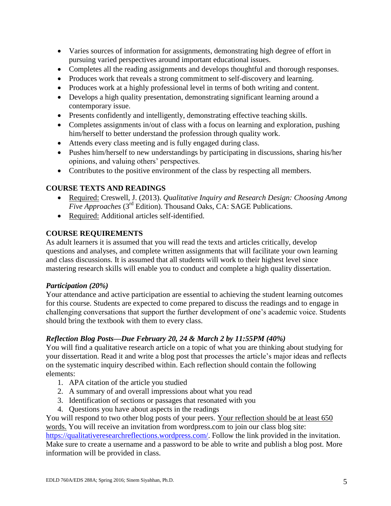- Varies sources of information for assignments, demonstrating high degree of effort in pursuing varied perspectives around important educational issues.
- Completes all the reading assignments and develops thoughtful and thorough responses.
- Produces work that reveals a strong commitment to self-discovery and learning.
- Produces work at a highly professional level in terms of both writing and content.
- Develops a high quality presentation, demonstrating significant learning around a contemporary issue.
- Presents confidently and intelligently, demonstrating effective teaching skills.
- Completes assignments in/out of class with a focus on learning and exploration, pushing him/herself to better understand the profession through quality work.
- Attends every class meeting and is fully engaged during class.
- Pushes him/herself to new understandings by participating in discussions, sharing his/her opinions, and valuing others' perspectives.
- Contributes to the positive environment of the class by respecting all members.

# **COURSE TEXTS AND READINGS**

- Required: Creswell, J. (2013). *Qualitative Inquiry and Research Design: Choosing Among Five Approaches* (3rd Edition). Thousand Oaks, CA: SAGE Publications.
- Required: Additional articles self-identified.

# **COURSE REQUIREMENTS**

As adult learners it is assumed that you will read the texts and articles critically, develop questions and analyses, and complete written assignments that will facilitate your own learning and class discussions. It is assumed that all students will work to their highest level since mastering research skills will enable you to conduct and complete a high quality dissertation.

## *Participation (20%)*

Your attendance and active participation are essential to achieving the student learning outcomes for this course. Students are expected to come prepared to discuss the readings and to engage in challenging conversations that support the further development of one's academic voice. Students should bring the textbook with them to every class.

## *Reflection Blog Posts—Due February 20, 24 & March 2 by 11:55PM (40%)*

You will find a qualitative research article on a topic of what you are thinking about studying for your dissertation. Read it and write a blog post that processes the article's major ideas and reflects on the systematic inquiry described within. Each reflection should contain the following elements:

- 1. APA citation of the article you studied
- 2. A summary of and overall impressions about what you read
- 3. Identification of sections or passages that resonated with you
- 4. Questions you have about aspects in the readings

You will respond to two other blog posts of your peers. Your reflection should be at least 650 words. You will receive an invitation from wordpress.com to join our class blog site: [https://qualitativeresearchreflections.wordpress.com/.](https://qualitativeresearchreflections.wordpress.com/) Follow the link provided in the invitation.

Make sure to create a username and a password to be able to write and publish a blog post. More information will be provided in class.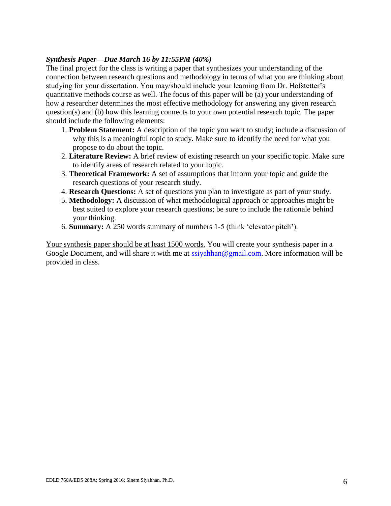#### *Synthesis Paper—Due March 16 by 11:55PM (40%)*

The final project for the class is writing a paper that synthesizes your understanding of the connection between research questions and methodology in terms of what you are thinking about studying for your dissertation. You may/should include your learning from Dr. Hofstetter's quantitative methods course as well. The focus of this paper will be (a) your understanding of how a researcher determines the most effective methodology for answering any given research question(s) and (b) how this learning connects to your own potential research topic. The paper should include the following elements:

- 1. **Problem Statement:** A description of the topic you want to study; include a discussion of why this is a meaningful topic to study. Make sure to identify the need for what you propose to do about the topic.
- 2. **Literature Review:** A brief review of existing research on your specific topic. Make sure to identify areas of research related to your topic.
- 3. **Theoretical Framework:** A set of assumptions that inform your topic and guide the research questions of your research study.
- 4. **Research Questions:** A set of questions you plan to investigate as part of your study.
- 5. **Methodology:** A discussion of what methodological approach or approaches might be best suited to explore your research questions; be sure to include the rationale behind your thinking.
- 6. **Summary:** A 250 words summary of numbers 1-5 (think 'elevator pitch').

Your synthesis paper should be at least 1500 words. You will create your synthesis paper in a Google Document, and will share it with me at [ssiyahhan@gmail.com.](mailto:ssiyahhan@gmail.com) More information will be provided in class.